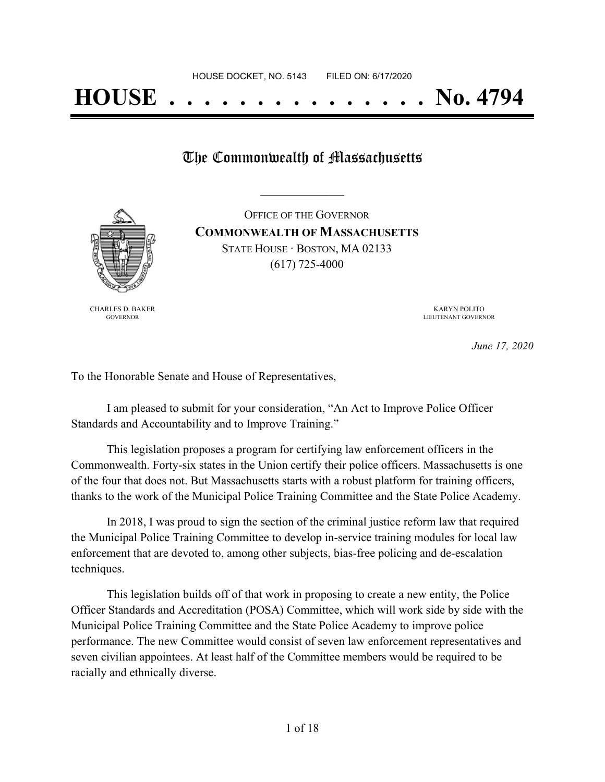The Commonwealth of Massachusetts

**\_\_\_\_\_\_\_\_\_\_\_\_\_\_\_\_\_**



CHARLES D. BAKER GOVERNOR

OFFICE OF THE GOVERNOR **COMMONWEALTH OF MASSACHUSETTS** STATE HOUSE · BOSTON, MA 02133 (617) 725-4000

> KARYN POLITO LIEUTENANT GOVERNOR

> > *June 17, 2020*

To the Honorable Senate and House of Representatives,

I am pleased to submit for your consideration, "An Act to Improve Police Officer Standards and Accountability and to Improve Training."

This legislation proposes a program for certifying law enforcement officers in the Commonwealth. Forty-six states in the Union certify their police officers. Massachusetts is one of the four that does not. But Massachusetts starts with a robust platform for training officers, thanks to the work of the Municipal Police Training Committee and the State Police Academy.

In 2018, I was proud to sign the section of the criminal justice reform law that required the Municipal Police Training Committee to develop in-service training modules for local law enforcement that are devoted to, among other subjects, bias-free policing and de-escalation techniques.

This legislation builds off of that work in proposing to create a new entity, the Police Officer Standards and Accreditation (POSA) Committee, which will work side by side with the Municipal Police Training Committee and the State Police Academy to improve police performance. The new Committee would consist of seven law enforcement representatives and seven civilian appointees. At least half of the Committee members would be required to be racially and ethnically diverse.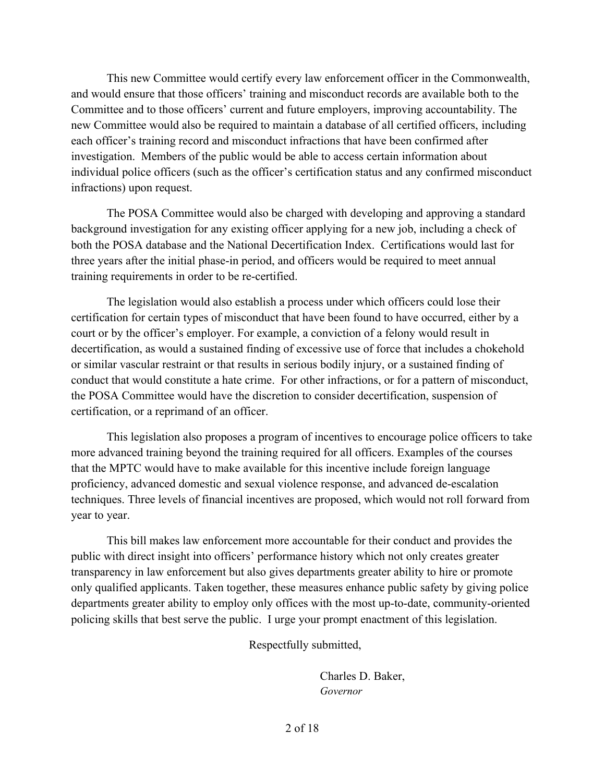This new Committee would certify every law enforcement officer in the Commonwealth, and would ensure that those officers' training and misconduct records are available both to the Committee and to those officers' current and future employers, improving accountability. The new Committee would also be required to maintain a database of all certified officers, including each officer's training record and misconduct infractions that have been confirmed after investigation. Members of the public would be able to access certain information about individual police officers (such as the officer's certification status and any confirmed misconduct infractions) upon request.

The POSA Committee would also be charged with developing and approving a standard background investigation for any existing officer applying for a new job, including a check of both the POSA database and the National Decertification Index. Certifications would last for three years after the initial phase-in period, and officers would be required to meet annual training requirements in order to be re-certified.

The legislation would also establish a process under which officers could lose their certification for certain types of misconduct that have been found to have occurred, either by a court or by the officer's employer. For example, a conviction of a felony would result in decertification, as would a sustained finding of excessive use of force that includes a chokehold or similar vascular restraint or that results in serious bodily injury, or a sustained finding of conduct that would constitute a hate crime. For other infractions, or for a pattern of misconduct, the POSA Committee would have the discretion to consider decertification, suspension of certification, or a reprimand of an officer.

This legislation also proposes a program of incentives to encourage police officers to take more advanced training beyond the training required for all officers. Examples of the courses that the MPTC would have to make available for this incentive include foreign language proficiency, advanced domestic and sexual violence response, and advanced de-escalation techniques. Three levels of financial incentives are proposed, which would not roll forward from year to year.

This bill makes law enforcement more accountable for their conduct and provides the public with direct insight into officers' performance history which not only creates greater transparency in law enforcement but also gives departments greater ability to hire or promote only qualified applicants. Taken together, these measures enhance public safety by giving police departments greater ability to employ only offices with the most up-to-date, community-oriented policing skills that best serve the public. I urge your prompt enactment of this legislation.

Respectfully submitted,

Charles D. Baker, *Governor*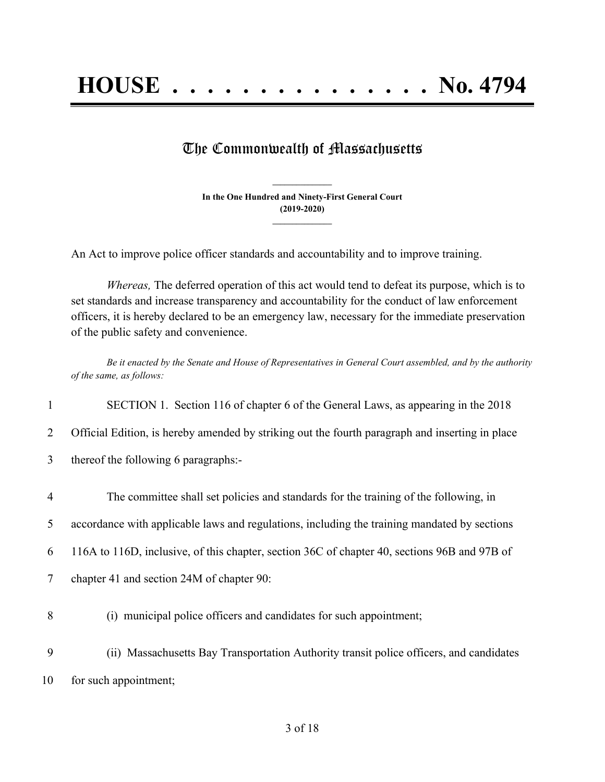## The Commonwealth of Massachusetts

**In the One Hundred and Ninety-First General Court (2019-2020) \_\_\_\_\_\_\_\_\_\_\_\_\_\_\_**

**\_\_\_\_\_\_\_\_\_\_\_\_\_\_\_**

An Act to improve police officer standards and accountability and to improve training.

*Whereas,* The deferred operation of this act would tend to defeat its purpose, which is to set standards and increase transparency and accountability for the conduct of law enforcement officers, it is hereby declared to be an emergency law, necessary for the immediate preservation of the public safety and convenience.

Be it enacted by the Senate and House of Representatives in General Court assembled, and by the authority *of the same, as follows:*

1 SECTION 1. Section 116 of chapter 6 of the General Laws, as appearing in the 2018

2 Official Edition, is hereby amended by striking out the fourth paragraph and inserting in place

3 thereof the following 6 paragraphs:-

| 4 | The committee shall set policies and standards for the training of the following, in         |
|---|----------------------------------------------------------------------------------------------|
| 5 | accordance with applicable laws and regulations, including the training mandated by sections |
| 6 | 116A to 116D, inclusive, of this chapter, section 36C of chapter 40, sections 96B and 97B of |
| 7 | chapter 41 and section 24M of chapter 90:                                                    |
| 8 | (i) municipal police officers and candidates for such appointment;                           |

9 (ii) Massachusetts Bay Transportation Authority transit police officers, and candidates 10 for such appointment;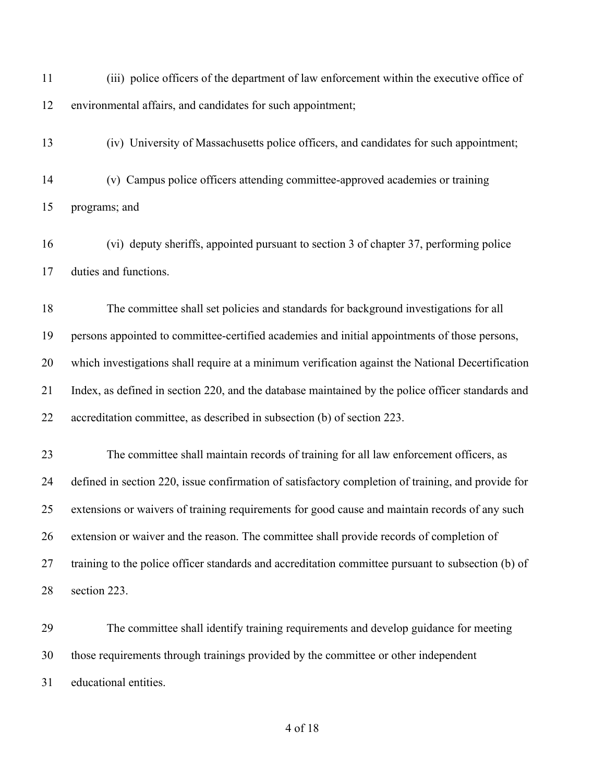| 11 | (iii) police officers of the department of law enforcement within the executive office of          |
|----|----------------------------------------------------------------------------------------------------|
| 12 | environmental affairs, and candidates for such appointment;                                        |
| 13 | (iv) University of Massachusetts police officers, and candidates for such appointment;             |
| 14 | (v) Campus police officers attending committee-approved academies or training                      |
| 15 | programs; and                                                                                      |
| 16 | (vi) deputy sheriffs, appointed pursuant to section 3 of chapter 37, performing police             |
| 17 | duties and functions.                                                                              |
| 18 | The committee shall set policies and standards for background investigations for all               |
| 19 | persons appointed to committee-certified academies and initial appointments of those persons,      |
| 20 | which investigations shall require at a minimum verification against the National Decertification  |
| 21 | Index, as defined in section 220, and the database maintained by the police officer standards and  |
| 22 | accreditation committee, as described in subsection (b) of section 223.                            |
| 23 | The committee shall maintain records of training for all law enforcement officers, as              |
| 24 | defined in section 220, issue confirmation of satisfactory completion of training, and provide for |
| 25 | extensions or waivers of training requirements for good cause and maintain records of any such     |
| 26 | extension or waiver and the reason. The committee shall provide records of completion of           |
| 27 | training to the police officer standards and accreditation committee pursuant to subsection (b) of |
| 28 | section 223.                                                                                       |
| 29 | The committee shall identify training requirements and develop guidance for meeting                |
| 30 | those requirements through trainings provided by the committee or other independent                |
| 31 | educational entities.                                                                              |
|    |                                                                                                    |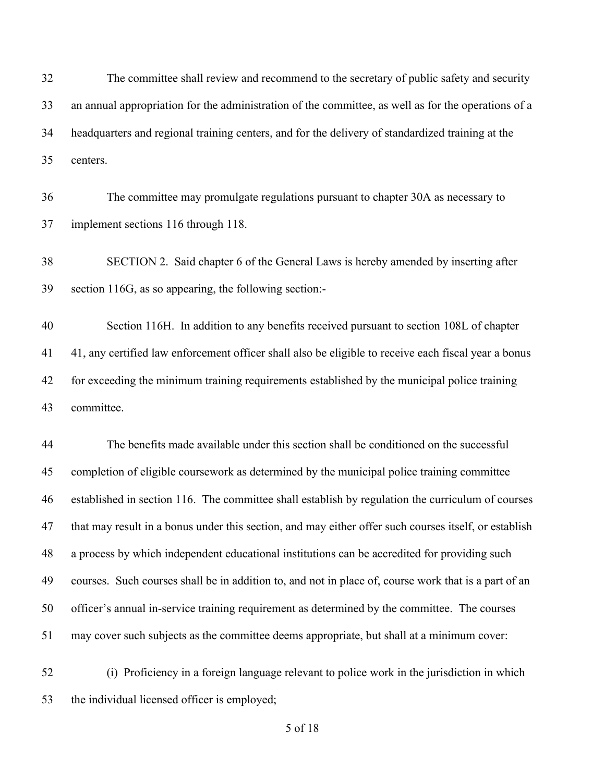The committee shall review and recommend to the secretary of public safety and security an annual appropriation for the administration of the committee, as well as for the operations of a headquarters and regional training centers, and for the delivery of standardized training at the centers.

 The committee may promulgate regulations pursuant to chapter 30A as necessary to implement sections 116 through 118.

 SECTION 2. Said chapter 6 of the General Laws is hereby amended by inserting after section 116G, as so appearing, the following section:-

 Section 116H. In addition to any benefits received pursuant to section 108L of chapter 41, any certified law enforcement officer shall also be eligible to receive each fiscal year a bonus for exceeding the minimum training requirements established by the municipal police training committee.

 The benefits made available under this section shall be conditioned on the successful completion of eligible coursework as determined by the municipal police training committee established in section 116. The committee shall establish by regulation the curriculum of courses that may result in a bonus under this section, and may either offer such courses itself, or establish a process by which independent educational institutions can be accredited for providing such courses. Such courses shall be in addition to, and not in place of, course work that is a part of an officer's annual in-service training requirement as determined by the committee. The courses may cover such subjects as the committee deems appropriate, but shall at a minimum cover:

 (i) Proficiency in a foreign language relevant to police work in the jurisdiction in which the individual licensed officer is employed;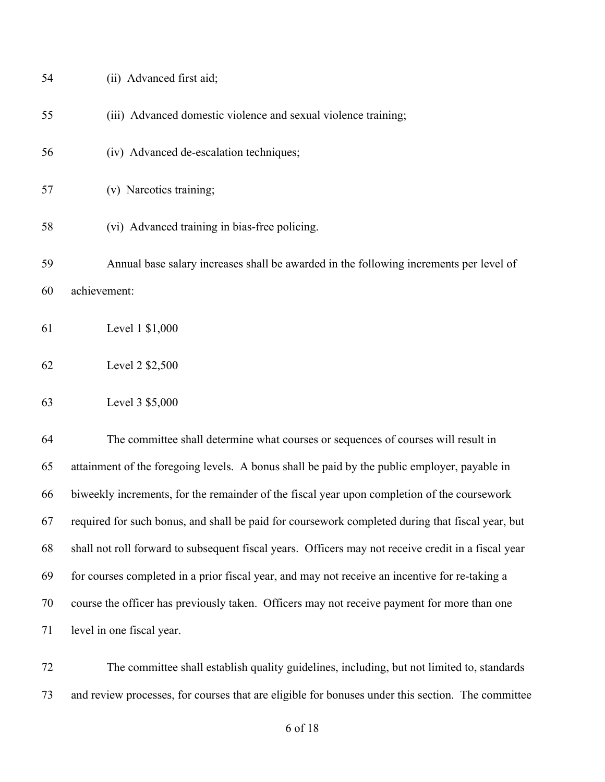| 54 | (ii) Advanced first aid;                                                                     |
|----|----------------------------------------------------------------------------------------------|
| 55 | (iii) Advanced domestic violence and sexual violence training;                               |
| 56 | (iv) Advanced de-escalation techniques;                                                      |
| 57 | (v) Narcotics training;                                                                      |
| 58 | (vi) Advanced training in bias-free policing.                                                |
| 59 | Annual base salary increases shall be awarded in the following increments per level of       |
| 60 | achievement:                                                                                 |
| 61 | Level 1 \$1,000                                                                              |
| 62 | Level 2 \$2,500                                                                              |
| 63 | Level 3 \$5,000                                                                              |
| 64 | The committee shall determine what courses or sequences of courses will result in            |
| 65 | attainment of the foregoing levels. A bonus shall be paid by the public employer, payable in |
|    |                                                                                              |

level in one fiscal year.

 The committee shall establish quality guidelines, including, but not limited to, standards and review processes, for courses that are eligible for bonuses under this section. The committee

biweekly increments, for the remainder of the fiscal year upon completion of the coursework

required for such bonus, and shall be paid for coursework completed during that fiscal year, but

shall not roll forward to subsequent fiscal years. Officers may not receive credit in a fiscal year

for courses completed in a prior fiscal year, and may not receive an incentive for re-taking a

course the officer has previously taken. Officers may not receive payment for more than one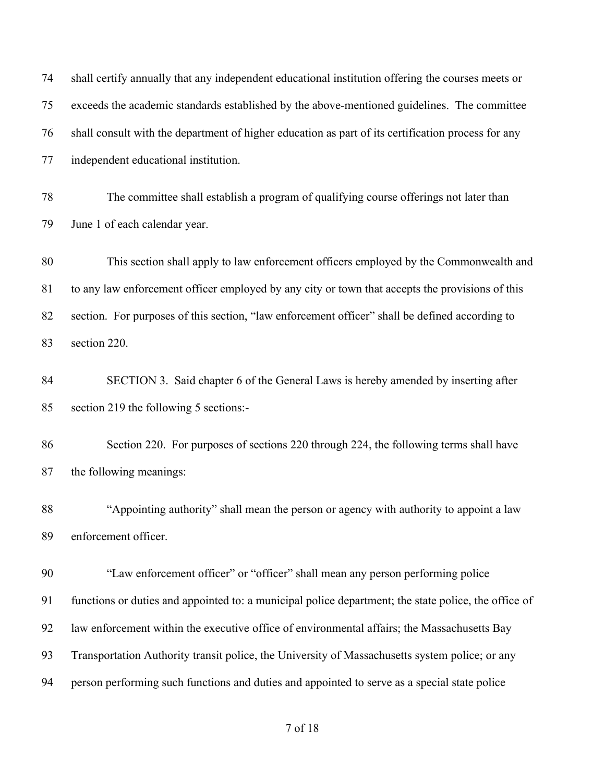| 74 | shall certify annually that any independent educational institution offering the courses meets or    |
|----|------------------------------------------------------------------------------------------------------|
| 75 | exceeds the academic standards established by the above-mentioned guidelines. The committee          |
| 76 | shall consult with the department of higher education as part of its certification process for any   |
| 77 | independent educational institution.                                                                 |
| 78 | The committee shall establish a program of qualifying course offerings not later than                |
| 79 | June 1 of each calendar year.                                                                        |
| 80 | This section shall apply to law enforcement officers employed by the Commonwealth and                |
| 81 | to any law enforcement officer employed by any city or town that accepts the provisions of this      |
| 82 | section. For purposes of this section, "law enforcement officer" shall be defined according to       |
| 83 | section 220.                                                                                         |
| 84 | SECTION 3. Said chapter 6 of the General Laws is hereby amended by inserting after                   |
| 85 | section 219 the following 5 sections:-                                                               |
| 86 | Section 220. For purposes of sections 220 through 224, the following terms shall have                |
| 87 | the following meanings:                                                                              |
| 88 | "Appointing authority" shall mean the person or agency with authority to appoint a law               |
| 89 | enforcement officer.                                                                                 |
| 90 | "Law enforcement officer" or "officer" shall mean any person performing police                       |
| 91 | functions or duties and appointed to: a municipal police department; the state police, the office of |
| 92 | law enforcement within the executive office of environmental affairs; the Massachusetts Bay          |
| 93 | Transportation Authority transit police, the University of Massachusetts system police; or any       |
| 94 | person performing such functions and duties and appointed to serve as a special state police         |
|    |                                                                                                      |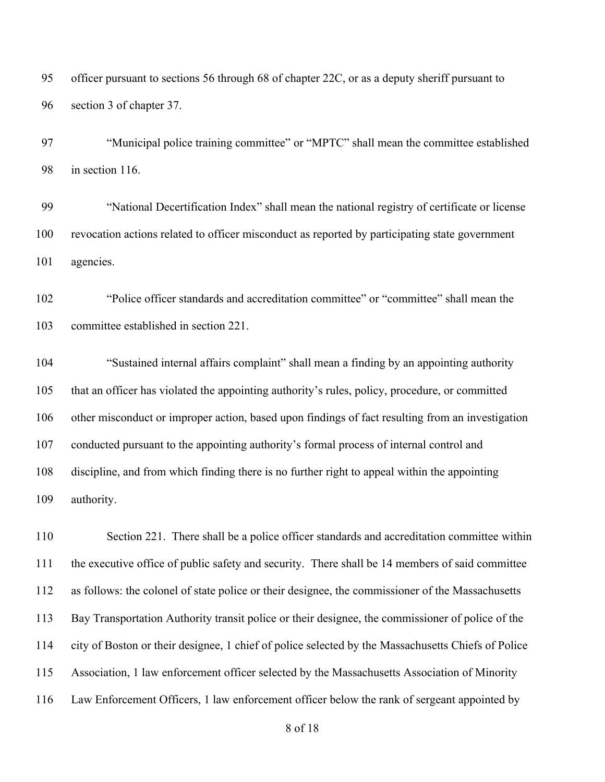officer pursuant to sections 56 through 68 of chapter 22C, or as a deputy sheriff pursuant to section 3 of chapter 37.

 "Municipal police training committee" or "MPTC" shall mean the committee established in section 116.

 "National Decertification Index" shall mean the national registry of certificate or license revocation actions related to officer misconduct as reported by participating state government agencies.

 "Police officer standards and accreditation committee" or "committee" shall mean the committee established in section 221.

 "Sustained internal affairs complaint" shall mean a finding by an appointing authority that an officer has violated the appointing authority's rules, policy, procedure, or committed other misconduct or improper action, based upon findings of fact resulting from an investigation conducted pursuant to the appointing authority's formal process of internal control and discipline, and from which finding there is no further right to appeal within the appointing authority.

 Section 221. There shall be a police officer standards and accreditation committee within the executive office of public safety and security. There shall be 14 members of said committee as follows: the colonel of state police or their designee, the commissioner of the Massachusetts Bay Transportation Authority transit police or their designee, the commissioner of police of the city of Boston or their designee, 1 chief of police selected by the Massachusetts Chiefs of Police Association, 1 law enforcement officer selected by the Massachusetts Association of Minority Law Enforcement Officers, 1 law enforcement officer below the rank of sergeant appointed by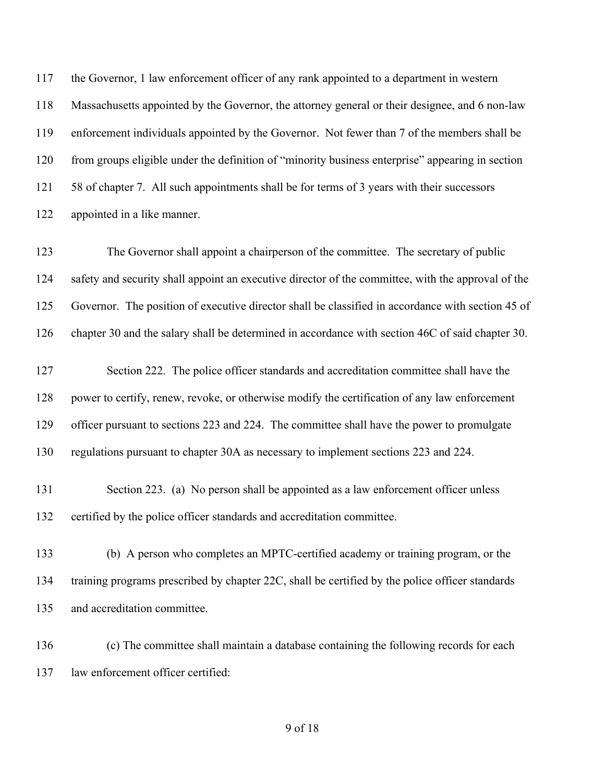the Governor, 1 law enforcement officer of any rank appointed to a department in western Massachusetts appointed by the Governor, the attorney general or their designee, and 6 non-law enforcement individuals appointed by the Governor. Not fewer than 7 of the members shall be from groups eligible under the definition of "minority business enterprise" appearing in section 121 58 of chapter 7. All such appointments shall be for terms of 3 years with their successors appointed in a like manner.

 The Governor shall appoint a chairperson of the committee. The secretary of public safety and security shall appoint an executive director of the committee, with the approval of the Governor. The position of executive director shall be classified in accordance with section 45 of chapter 30 and the salary shall be determined in accordance with section 46C of said chapter 30.

127 Section 222. The police officer standards and accreditation committee shall have the power to certify, renew, revoke, or otherwise modify the certification of any law enforcement officer pursuant to sections 223 and 224. The committee shall have the power to promulgate regulations pursuant to chapter 30A as necessary to implement sections 223 and 224.

- Section 223. (a) No person shall be appointed as a law enforcement officer unless certified by the police officer standards and accreditation committee.
- (b) A person who completes an MPTC-certified academy or training program, or the training programs prescribed by chapter 22C, shall be certified by the police officer standards and accreditation committee.
- (c) The committee shall maintain a database containing the following records for each law enforcement officer certified: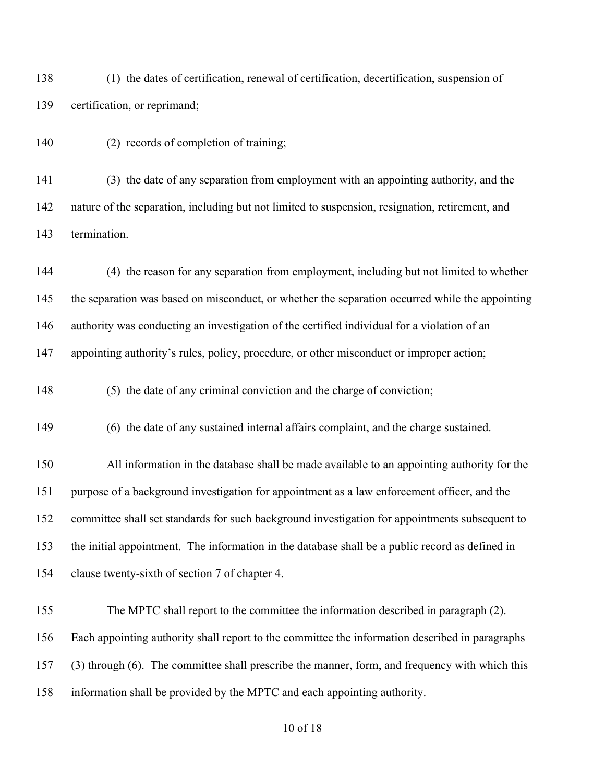(1) the dates of certification, renewal of certification, decertification, suspension of certification, or reprimand;

(2) records of completion of training;

 (3) the date of any separation from employment with an appointing authority, and the nature of the separation, including but not limited to suspension, resignation, retirement, and termination.

 (4) the reason for any separation from employment, including but not limited to whether the separation was based on misconduct, or whether the separation occurred while the appointing authority was conducting an investigation of the certified individual for a violation of an 147 appointing authority's rules, policy, procedure, or other misconduct or improper action;

148 (5) the date of any criminal conviction and the charge of conviction;

(6) the date of any sustained internal affairs complaint, and the charge sustained.

 All information in the database shall be made available to an appointing authority for the purpose of a background investigation for appointment as a law enforcement officer, and the committee shall set standards for such background investigation for appointments subsequent to the initial appointment. The information in the database shall be a public record as defined in clause twenty-sixth of section 7 of chapter 4.

 The MPTC shall report to the committee the information described in paragraph (2). Each appointing authority shall report to the committee the information described in paragraphs (3) through (6). The committee shall prescribe the manner, form, and frequency with which this information shall be provided by the MPTC and each appointing authority.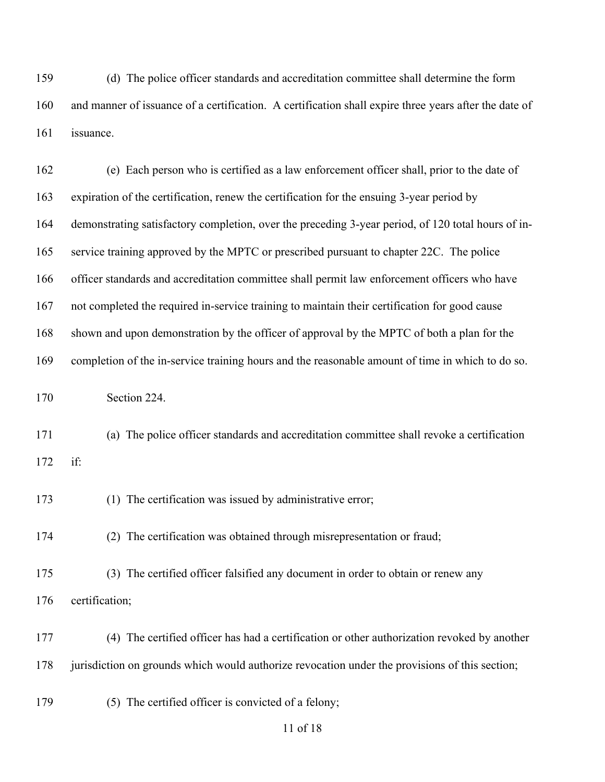(d) The police officer standards and accreditation committee shall determine the form and manner of issuance of a certification. A certification shall expire three years after the date of issuance.

 (e) Each person who is certified as a law enforcement officer shall, prior to the date of expiration of the certification, renew the certification for the ensuing 3-year period by demonstrating satisfactory completion, over the preceding 3-year period, of 120 total hours of in- service training approved by the MPTC or prescribed pursuant to chapter 22C. The police officer standards and accreditation committee shall permit law enforcement officers who have not completed the required in-service training to maintain their certification for good cause shown and upon demonstration by the officer of approval by the MPTC of both a plan for the completion of the in-service training hours and the reasonable amount of time in which to do so. Section 224. (a) The police officer standards and accreditation committee shall revoke a certification if: 173 (1) The certification was issued by administrative error; (2) The certification was obtained through misrepresentation or fraud; (3) The certified officer falsified any document in order to obtain or renew any certification; (4) The certified officer has had a certification or other authorization revoked by another 178 jurisdiction on grounds which would authorize revocation under the provisions of this section;

(5) The certified officer is convicted of a felony;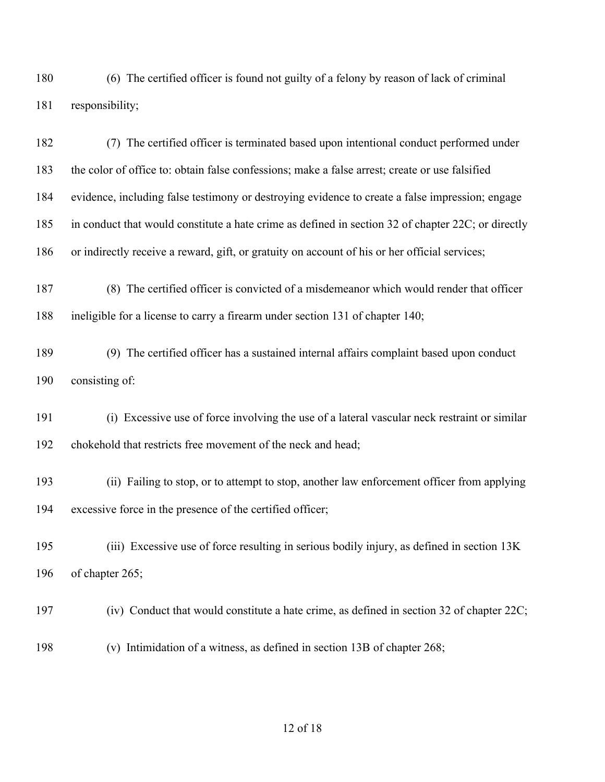(6) The certified officer is found not guilty of a felony by reason of lack of criminal responsibility;

 (7) The certified officer is terminated based upon intentional conduct performed under the color of office to: obtain false confessions; make a false arrest; create or use falsified evidence, including false testimony or destroying evidence to create a false impression; engage in conduct that would constitute a hate crime as defined in section 32 of chapter 22C; or directly or indirectly receive a reward, gift, or gratuity on account of his or her official services;

 (8) The certified officer is convicted of a misdemeanor which would render that officer ineligible for a license to carry a firearm under section 131 of chapter 140;

 (9) The certified officer has a sustained internal affairs complaint based upon conduct consisting of:

 (i) Excessive use of force involving the use of a lateral vascular neck restraint or similar chokehold that restricts free movement of the neck and head;

 (ii) Failing to stop, or to attempt to stop, another law enforcement officer from applying excessive force in the presence of the certified officer;

 (iii) Excessive use of force resulting in serious bodily injury, as defined in section 13K of chapter 265;

- (iv) Conduct that would constitute a hate crime, as defined in section 32 of chapter 22C;
- (v) Intimidation of a witness, as defined in section 13B of chapter 268;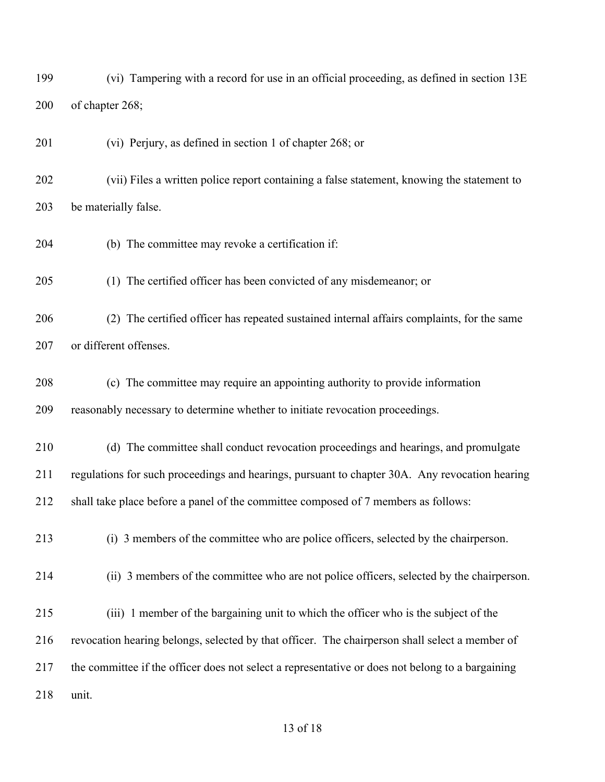(vi) Tampering with a record for use in an official proceeding, as defined in section 13E of chapter 268;

(vi) Perjury, as defined in section 1 of chapter 268; or

 (vii) Files a written police report containing a false statement, knowing the statement to be materially false.

(b) The committee may revoke a certification if:

(1) The certified officer has been convicted of any misdemeanor; or

 (2) The certified officer has repeated sustained internal affairs complaints, for the same or different offenses.

 (c) The committee may require an appointing authority to provide information reasonably necessary to determine whether to initiate revocation proceedings.

 (d) The committee shall conduct revocation proceedings and hearings, and promulgate regulations for such proceedings and hearings, pursuant to chapter 30A. Any revocation hearing shall take place before a panel of the committee composed of 7 members as follows:

(i) 3 members of the committee who are police officers, selected by the chairperson.

(ii) 3 members of the committee who are not police officers, selected by the chairperson.

(iii) 1 member of the bargaining unit to which the officer who is the subject of the

revocation hearing belongs, selected by that officer. The chairperson shall select a member of

the committee if the officer does not select a representative or does not belong to a bargaining

unit.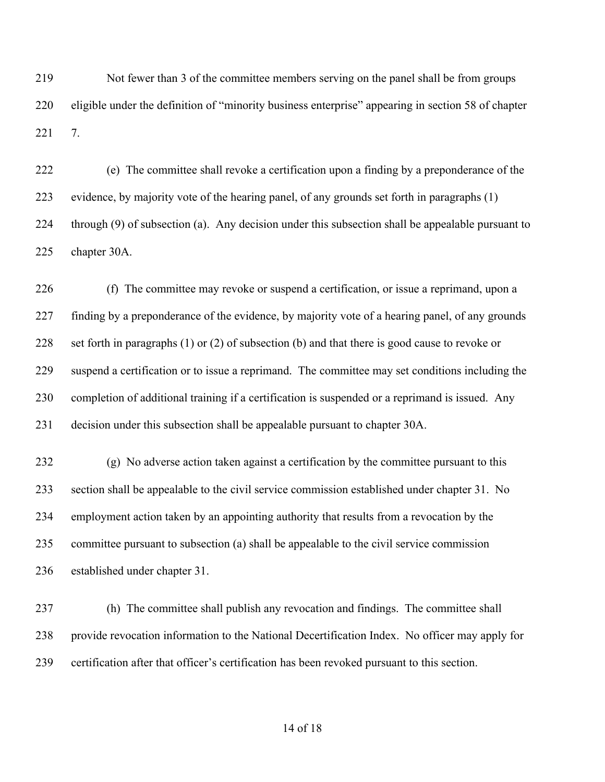Not fewer than 3 of the committee members serving on the panel shall be from groups eligible under the definition of "minority business enterprise" appearing in section 58 of chapter 7.

 (e) The committee shall revoke a certification upon a finding by a preponderance of the evidence, by majority vote of the hearing panel, of any grounds set forth in paragraphs (1) through (9) of subsection (a). Any decision under this subsection shall be appealable pursuant to chapter 30A.

 (f) The committee may revoke or suspend a certification, or issue a reprimand, upon a finding by a preponderance of the evidence, by majority vote of a hearing panel, of any grounds set forth in paragraphs (1) or (2) of subsection (b) and that there is good cause to revoke or suspend a certification or to issue a reprimand. The committee may set conditions including the completion of additional training if a certification is suspended or a reprimand is issued. Any decision under this subsection shall be appealable pursuant to chapter 30A.

 (g) No adverse action taken against a certification by the committee pursuant to this section shall be appealable to the civil service commission established under chapter 31. No employment action taken by an appointing authority that results from a revocation by the committee pursuant to subsection (a) shall be appealable to the civil service commission established under chapter 31.

 (h) The committee shall publish any revocation and findings. The committee shall provide revocation information to the National Decertification Index. No officer may apply for certification after that officer's certification has been revoked pursuant to this section.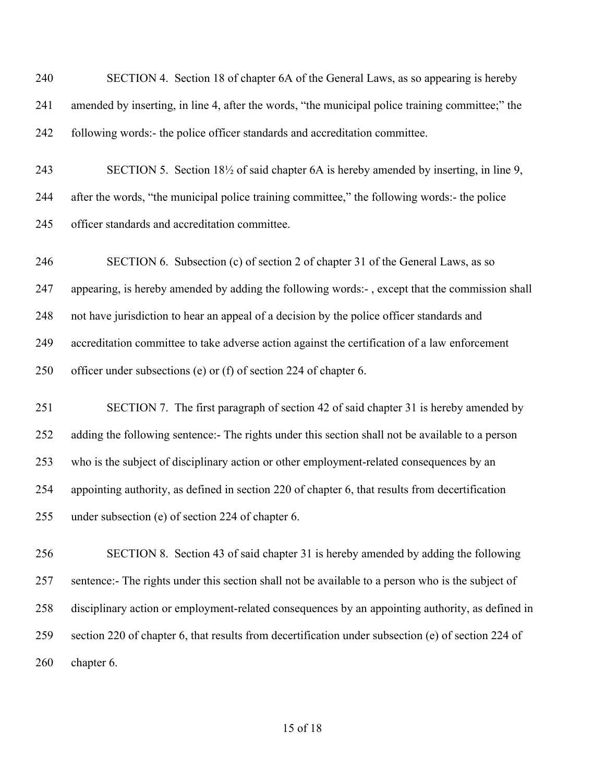| 240 | SECTION 4. Section 18 of chapter 6A of the General Laws, as so appearing is hereby                              |
|-----|-----------------------------------------------------------------------------------------------------------------|
| 241 | amended by inserting, in line 4, after the words, "the municipal police training committee;" the                |
| 242 | following words:- the police officer standards and accreditation committee.                                     |
| 243 | SECTION 5. Section 18 <sup>1</sup> / <sub>2</sub> of said chapter 6A is hereby amended by inserting, in line 9, |
| 244 | after the words, "the municipal police training committee," the following words:- the police                    |
| 245 | officer standards and accreditation committee.                                                                  |
| 246 | SECTION 6. Subsection (c) of section 2 of chapter 31 of the General Laws, as so                                 |
| 247 | appearing, is hereby amended by adding the following words:-, except that the commission shall                  |
| 248 | not have jurisdiction to hear an appeal of a decision by the police officer standards and                       |
| 249 | accreditation committee to take adverse action against the certification of a law enforcement                   |
| 250 | officer under subsections (e) or (f) of section 224 of chapter 6.                                               |
| 251 | SECTION 7. The first paragraph of section 42 of said chapter 31 is hereby amended by                            |
| 252 | adding the following sentence:- The rights under this section shall not be available to a person                |
| 253 | who is the subject of disciplinary action or other employment-related consequences by an                        |
| 254 | appointing authority, as defined in section 220 of chapter 6, that results from decertification                 |
| 255 | under subsection (e) of section 224 of chapter 6.                                                               |
| 256 | SECTION 8. Section 43 of said chapter 31 is hereby amended by adding the following                              |
| 257 | sentence:- The rights under this section shall not be available to a person who is the subject of               |
| 258 | disciplinary action or employment-related consequences by an appointing authority, as defined in                |
| 259 | section 220 of chapter 6, that results from decertification under subsection (e) of section 224 of              |
| 260 | chapter 6.                                                                                                      |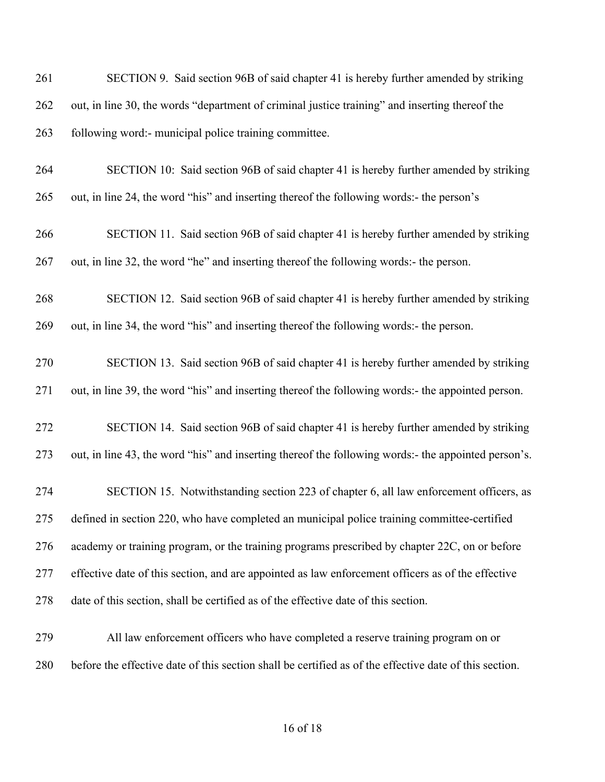SECTION 9. Said section 96B of said chapter 41 is hereby further amended by striking out, in line 30, the words "department of criminal justice training" and inserting thereof the following word:- municipal police training committee.

 SECTION 10: Said section 96B of said chapter 41 is hereby further amended by striking out, in line 24, the word "his" and inserting thereof the following words:- the person's

 SECTION 11. Said section 96B of said chapter 41 is hereby further amended by striking out, in line 32, the word "he" and inserting thereof the following words:- the person.

 SECTION 12. Said section 96B of said chapter 41 is hereby further amended by striking out, in line 34, the word "his" and inserting thereof the following words:- the person.

 SECTION 13. Said section 96B of said chapter 41 is hereby further amended by striking out, in line 39, the word "his" and inserting thereof the following words:- the appointed person.

 SECTION 14. Said section 96B of said chapter 41 is hereby further amended by striking out, in line 43, the word "his" and inserting thereof the following words:- the appointed person's.

 SECTION 15. Notwithstanding section 223 of chapter 6, all law enforcement officers, as defined in section 220, who have completed an municipal police training committee-certified academy or training program, or the training programs prescribed by chapter 22C, on or before effective date of this section, and are appointed as law enforcement officers as of the effective date of this section, shall be certified as of the effective date of this section.

 All law enforcement officers who have completed a reserve training program on or before the effective date of this section shall be certified as of the effective date of this section.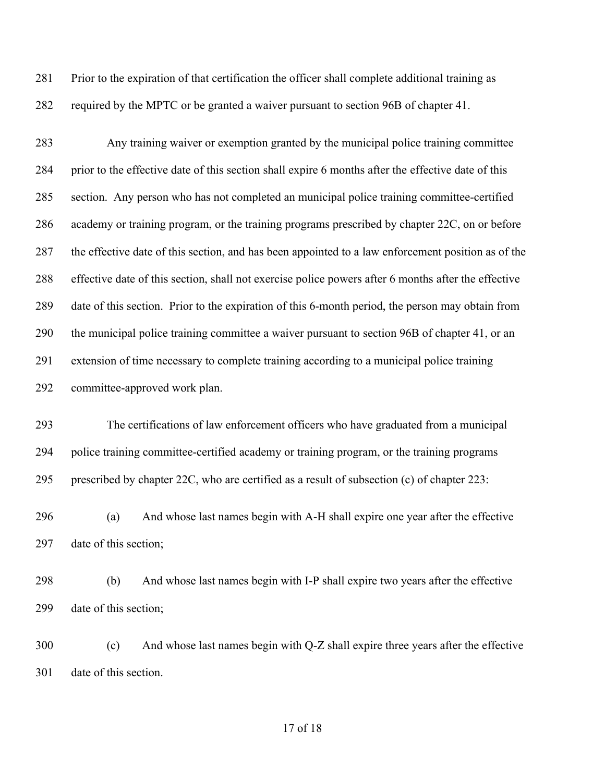Prior to the expiration of that certification the officer shall complete additional training as required by the MPTC or be granted a waiver pursuant to section 96B of chapter 41.

 Any training waiver or exemption granted by the municipal police training committee prior to the effective date of this section shall expire 6 months after the effective date of this section. Any person who has not completed an municipal police training committee-certified academy or training program, or the training programs prescribed by chapter 22C, on or before the effective date of this section, and has been appointed to a law enforcement position as of the effective date of this section, shall not exercise police powers after 6 months after the effective date of this section. Prior to the expiration of this 6-month period, the person may obtain from the municipal police training committee a waiver pursuant to section 96B of chapter 41, or an extension of time necessary to complete training according to a municipal police training committee-approved work plan.

 The certifications of law enforcement officers who have graduated from a municipal police training committee-certified academy or training program, or the training programs prescribed by chapter 22C, who are certified as a result of subsection (c) of chapter 223:

 (a) And whose last names begin with A-H shall expire one year after the effective date of this section;

 (b) And whose last names begin with I-P shall expire two years after the effective date of this section;

 (c) And whose last names begin with Q-Z shall expire three years after the effective date of this section.